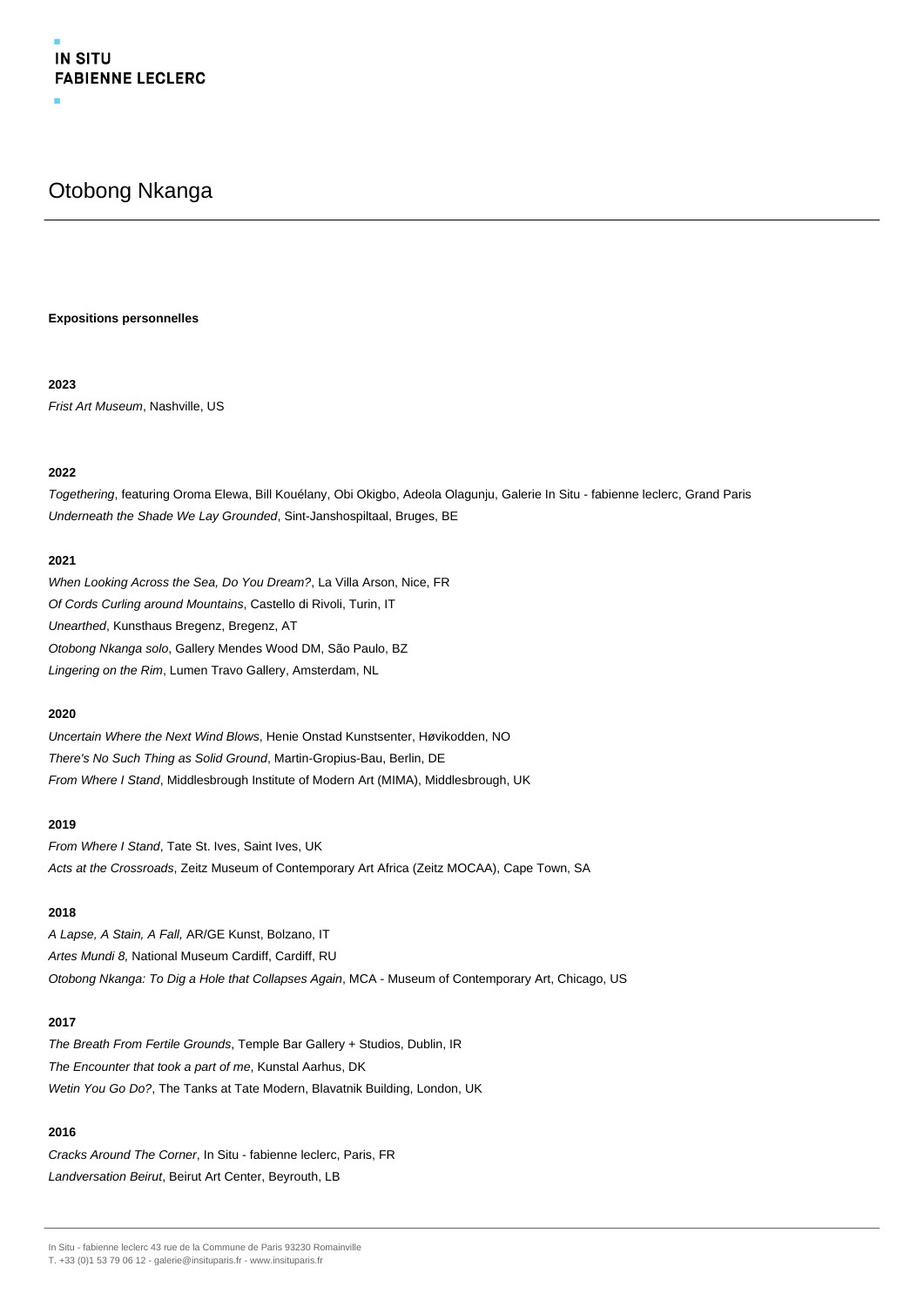## Otobong Nkanga

## **Expositions personnelles**

## **2023**

Frist Art Museum, Nashville, US

## **2022**

Togethering, featuring Oroma Elewa, Bill Kouélany, Obi Okigbo, Adeola Olagunju, Galerie In Situ - fabienne leclerc, Grand Paris Underneath the Shade We Lay Grounded, Sint-Janshospiltaal, Bruges, BE

## **2021**

When Looking Across the Sea, Do You Dream?, La Villa Arson, Nice, FR Of Cords Curling around Mountains, Castello di Rivoli, Turin, IT Unearthed, Kunsthaus Bregenz, Bregenz, AT Otobong Nkanga solo, Gallery Mendes Wood DM, São Paulo, BZ Lingering on the Rim, Lumen Travo Gallery, Amsterdam, NL

## **2020**

Uncertain Where the Next Wind Blows, Henie Onstad Kunstsenter, Høvikodden, NO There's No Such Thing as Solid Ground, Martin-Gropius-Bau, Berlin, DE From Where I Stand, Middlesbrough Institute of Modern Art (MIMA), Middlesbrough, UK

## **2019**

From Where I Stand, Tate St. Ives, Saint Ives, UK Acts at the Crossroads, Zeitz Museum of Contemporary Art Africa (Zeitz MOCAA), Cape Town, SA

## **2018**

A Lapse, A Stain, A Fall, AR/GE Kunst, Bolzano, IT Artes Mundi 8, National Museum Cardiff, Cardiff, RU Otobong Nkanga: To Dig a Hole that Collapses Again, MCA - Museum of Contemporary Art, Chicago, US

## **2017**

The Breath From Fertile Grounds, Temple Bar Gallery + Studios, Dublin, IR The Encounter that took a part of me, Kunstal Aarhus, DK Wetin You Go Do?, The Tanks at Tate Modern, Blavatnik Building, London, UK

## **2016**

Cracks Around The Corner, In Situ - fabienne leclerc, Paris, FR Landversation Beirut, Beirut Art Center, Beyrouth, LB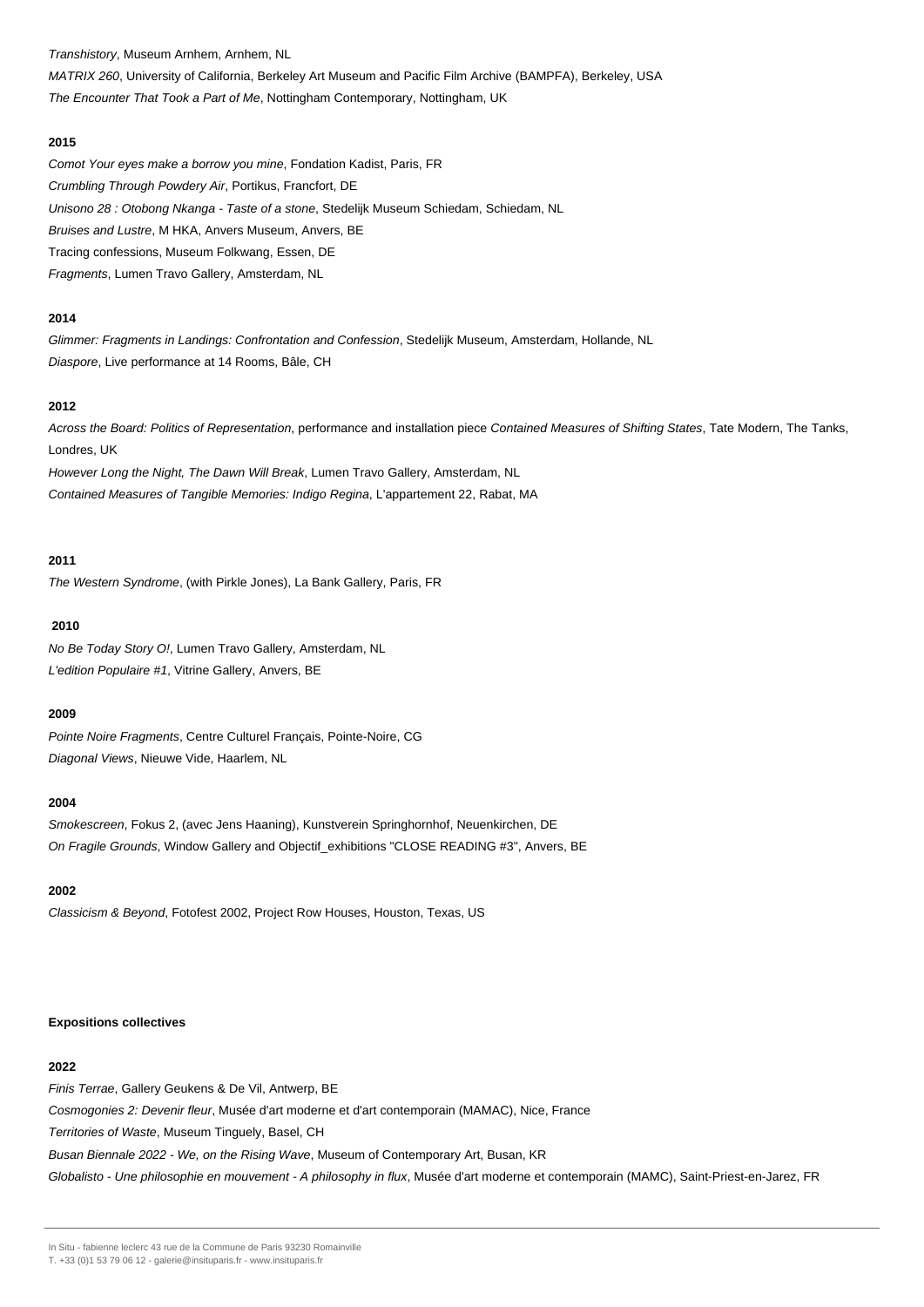Transhistory, Museum Arnhem, Arnhem, NL

MATRIX 260, University of California, Berkeley Art Museum and Pacific Film Archive (BAMPFA), Berkeley, USA The Encounter That Took a Part of Me, Nottingham Contemporary, Nottingham, UK

#### **2015**

Comot Your eyes make a borrow you mine, Fondation Kadist, Paris, FR Crumbling Through Powdery Air, Portikus, Francfort, DE Unisono 28 : Otobong Nkanga - Taste of a stone, Stedelijk Museum Schiedam, Schiedam, NL Bruises and Lustre, M HKA, Anvers Museum, Anvers, BE Tracing confessions, Museum Folkwang, Essen, DE Fragments, Lumen Travo Gallery, Amsterdam, NL

## **2014**

Glimmer: Fragments in Landings: Confrontation and Confession, Stedelijk Museum, Amsterdam, Hollande, NL Diaspore, Live performance at 14 Rooms, Bâle, CH

## **2012**

Across the Board: Politics of Representation, performance and installation piece Contained Measures of Shifting States, Tate Modern, The Tanks, Londres, UK

However Long the Night, The Dawn Will Break, Lumen Travo Gallery, Amsterdam, NL Contained Measures of Tangible Memories: Indigo Regina, L'appartement 22, Rabat, MA

#### **2011**

The Western Syndrome, (with Pirkle Jones), La Bank Gallery, Paris, FR

#### **2010**

No Be Today Story O!, Lumen Travo Gallery, Amsterdam, NL L'edition Populaire #1, Vitrine Gallery, Anvers, BE

## **2009**

Pointe Noire Fragments, Centre Culturel Français, Pointe-Noire, CG Diagonal Views, Nieuwe Vide, Haarlem, NL

#### **2004**

Smokescreen, Fokus 2, (avec Jens Haaning), Kunstverein Springhornhof, Neuenkirchen, DE On Fragile Grounds, Window Gallery and Objectif exhibitions "CLOSE READING #3", Anvers, BE

## **2002**

Classicism & Beyond, Fotofest 2002, Project Row Houses, Houston, Texas, US

#### **Expositions collectives**

## **2022**

Finis Terrae, Gallery Geukens & De Vil, Antwerp, BE

Cosmogonies 2: Devenir fleur, Musée d'art moderne et d'art contemporain (MAMAC), Nice, France

Territories of Waste, Museum Tinguely, Basel, CH

Busan Biennale 2022 - We, on the Rising Wave, Museum of Contemporary Art, Busan, KR

Globalisto - Une philosophie en mouvement - A philosophy in flux, Musée d'art moderne et contemporain (MAMC), Saint-Priest-en-Jarez, FR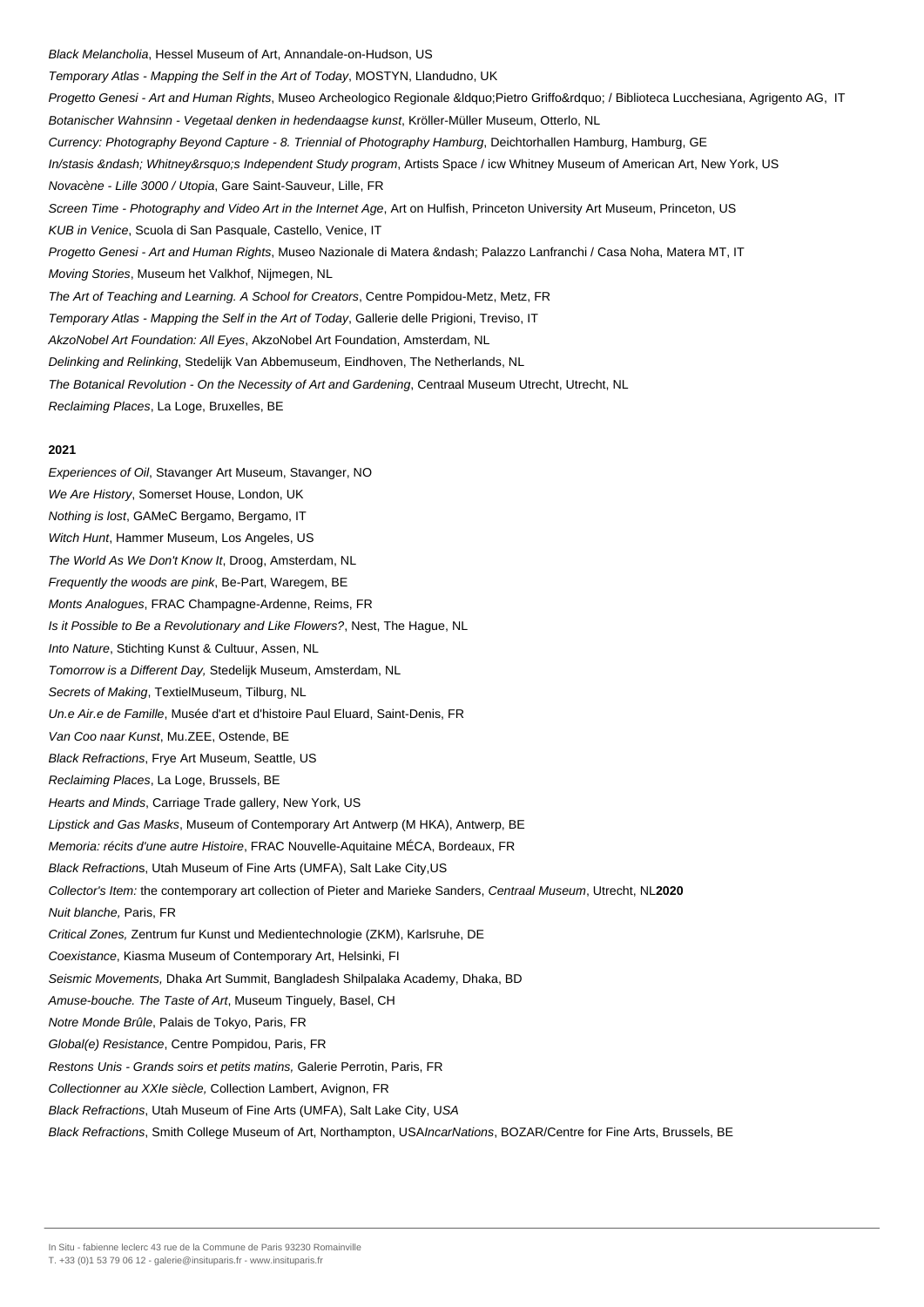Black Melancholia, Hessel Museum of Art, Annandale-on-Hudson, US Temporary Atlas - Mapping the Self in the Art of Today, MOSTYN, Llandudno, UK Progetto Genesi - Art and Human Rights, Museo Archeologico Regionale &Idquo;Pietro Griffo" / Biblioteca Lucchesiana, Agrigento AG, IT Botanischer Wahnsinn - Vegetaal denken in hedendaagse kunst, Kröller-Müller Museum, Otterlo, NL Currency: Photography Beyond Capture - 8. Triennial of Photography Hamburg, Deichtorhallen Hamburg, Hamburg, GE In/stasis – Whitney's Independent Study program, Artists Space / icw Whitney Museum of American Art, New York, US Novacène - Lille 3000 / Utopia, Gare Saint-Sauveur, Lille, FR Screen Time - Photography and Video Art in the Internet Age, Art on Hulfish, Princeton University Art Museum, Princeton, US KUB in Venice, Scuola di San Pasquale, Castello, Venice, IT Progetto Genesi - Art and Human Rights, Museo Nazionale di Matera – Palazzo Lanfranchi / Casa Noha, Matera MT, IT Moving Stories, Museum het Valkhof, Nijmegen, NL The Art of Teaching and Learning. A School for Creators, Centre Pompidou-Metz, Metz, FR Temporary Atlas - Mapping the Self in the Art of Today, Gallerie delle Prigioni, Treviso, IT AkzoNobel Art Foundation: All Eyes, AkzoNobel Art Foundation, Amsterdam, NL Delinking and Relinking, Stedelijk Van Abbemuseum, Eindhoven, The Netherlands, NL The Botanical Revolution - On the Necessity of Art and Gardening, Centraal Museum Utrecht, Utrecht, NL Reclaiming Places, La Loge, Bruxelles, BE **2021** Experiences of Oil, Stavanger Art Museum, Stavanger, NO We Are History, Somerset House, London, UK Nothing is lost, GAMeC Bergamo, Bergamo, IT Witch Hunt, Hammer Museum, Los Angeles, US The World As We Don't Know It, Droog, Amsterdam, NL Frequently the woods are pink, Be-Part, Waregem, BE Monts Analogues, FRAC Champagne-Ardenne, Reims, FR Is it Possible to Be a Revolutionary and Like Flowers?, Nest, The Hague, NL Into Nature, Stichting Kunst & Cultuur, Assen, NL Tomorrow is a Different Day, Stedelijk Museum, Amsterdam, NL Secrets of Making, TextielMuseum, Tilburg, NL Un.e Air.e de Famille, Musée d'art et d'histoire Paul Eluard, Saint-Denis, FR Van Coo naar Kunst, Mu.ZEE, Ostende, BE Black Refractions, Frye Art Museum, Seattle, US Reclaiming Places, La Loge, Brussels, BE Hearts and Minds, Carriage Trade gallery, New York, US Lipstick and Gas Masks, Museum of Contemporary Art Antwerp (M HKA), Antwerp, BE Memoria: récits d'une autre Histoire, FRAC Nouvelle-Aquitaine MÉCA, Bordeaux, FR Black Refractions, Utah Museum of Fine Arts (UMFA), Salt Lake City,US Collector's Item: the contemporary art collection of Pieter and Marieke Sanders, Centraal Museum, Utrecht, NL**2020** Nuit blanche, Paris, FR

Critical Zones, Zentrum fur Kunst und Medientechnologie (ZKM), Karlsruhe, DE

Coexistance, Kiasma Museum of Contemporary Art, Helsinki, FI

Seismic Movements, Dhaka Art Summit, Bangladesh Shilpalaka Academy, Dhaka, BD

Amuse-bouche. The Taste of Art, Museum Tinguely, Basel, CH

Notre Monde Brûle, Palais de Tokyo, Paris, FR

Global(e) Resistance, Centre Pompidou, Paris, FR

Restons Unis - Grands soirs et petits matins, Galerie Perrotin, Paris, FR

Collectionner au XXIe siècle, Collection Lambert, Avignon, FR

Black Refractions, Utah Museum of Fine Arts (UMFA), Salt Lake City, USA

Black Refractions, Smith College Museum of Art, Northampton, USAIncarNations, BOZAR/Centre for Fine Arts, Brussels, BE

In Situ - fabienne leclerc 43 rue de la Commune de Paris 93230 Romainville

T. +33 (0)1 53 79 06 12 - galerie@insituparis.fr - www.insituparis.fr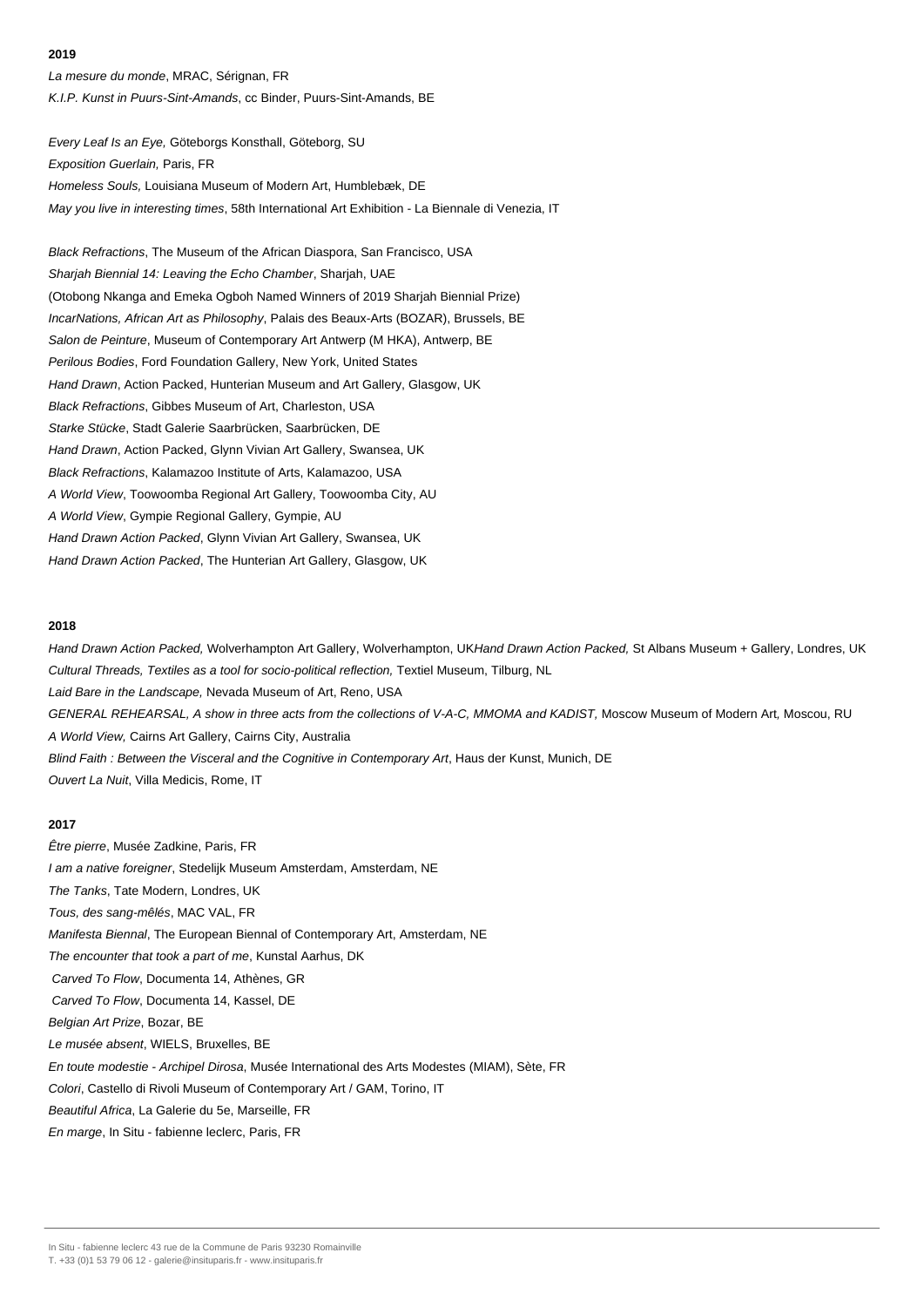La mesure du monde, MRAC, Sérignan, FR K.I.P. Kunst in Puurs-Sint-Amands, cc Binder, Puurs-Sint-Amands, BE

Every Leaf Is an Eye, Göteborgs Konsthall, Göteborg, SU Exposition Guerlain, Paris, FR Homeless Souls, Louisiana Museum of Modern Art, Humblebæk, DE May you live in interesting times, 58th International Art Exhibition - La Biennale di Venezia, IT

Black Refractions, The Museum of the African Diaspora, San Francisco, USA Sharjah Biennial 14: Leaving the Echo Chamber, Sharjah, UAE (Otobong Nkanga and Emeka Ogboh Named Winners of 2019 Sharjah Biennial Prize) IncarNations, African Art as Philosophy, Palais des Beaux-Arts (BOZAR), Brussels, BE Salon de Peinture, Museum of Contemporary Art Antwerp (M HKA), Antwerp, BE Perilous Bodies, Ford Foundation Gallery, New York, United States Hand Drawn, Action Packed, Hunterian Museum and Art Gallery, Glasgow, UK Black Refractions, Gibbes Museum of Art, Charleston, USA Starke Stücke, Stadt Galerie Saarbrücken, Saarbrücken, DE Hand Drawn, Action Packed, Glynn Vivian Art Gallery, Swansea, UK Black Refractions, Kalamazoo Institute of Arts, Kalamazoo, USA A World View, Toowoomba Regional Art Gallery, Toowoomba City, AU A World View, Gympie Regional Gallery, Gympie, AU Hand Drawn Action Packed, Glynn Vivian Art Gallery, Swansea, UK Hand Drawn Action Packed, The Hunterian Art Gallery, Glasgow, UK

#### **2018**

Hand Drawn Action Packed, Wolverhampton Art Gallery, Wolverhampton, UKHand Drawn Action Packed, St Albans Museum + Gallery, Londres, UK Cultural Threads, Textiles as a tool for socio-political reflection, Textiel Museum, Tilburg, NL Laid Bare in the Landscape, Nevada Museum of Art, Reno, USA GENERAL REHEARSAL, A show in three acts from the collections of V-A-C, MMOMA and KADIST, Moscow Museum of Modern Art, Moscou, RU A World View, Cairns Art Gallery, Cairns City, Australia Blind Faith : Between the Visceral and the Cognitive in Contemporary Art, Haus der Kunst, Munich, DE Ouvert La Nuit, Villa Medicis, Rome, IT

## **2017**

Être pierre, Musée Zadkine, Paris, FR I am a native foreigner, Stedelijk Museum Amsterdam, Amsterdam, NE The Tanks, Tate Modern, Londres, UK Tous, des sang-mêlés, MAC VAL, FR Manifesta Biennal, The European Biennal of Contemporary Art, Amsterdam, NE The encounter that took a part of me, Kunstal Aarhus, DK Carved To Flow, Documenta 14, Athènes, GR Carved To Flow, Documenta 14, Kassel, DE Belgian Art Prize, Bozar, BE Le musée absent, WIELS, Bruxelles, BE En toute modestie - Archipel Dirosa, Musée International des Arts Modestes (MIAM), Sète, FR Colori, Castello di Rivoli Museum of Contemporary Art / GAM, Torino, IT Beautiful Africa, La Galerie du 5e, Marseille, FR

En marge, In Situ - fabienne leclerc, Paris, FR

In Situ - fabienne leclerc 43 rue de la Commune de Paris 93230 Romainville

T. +33 (0)1 53 79 06 12 - galerie@insituparis.fr - www.insituparis.fr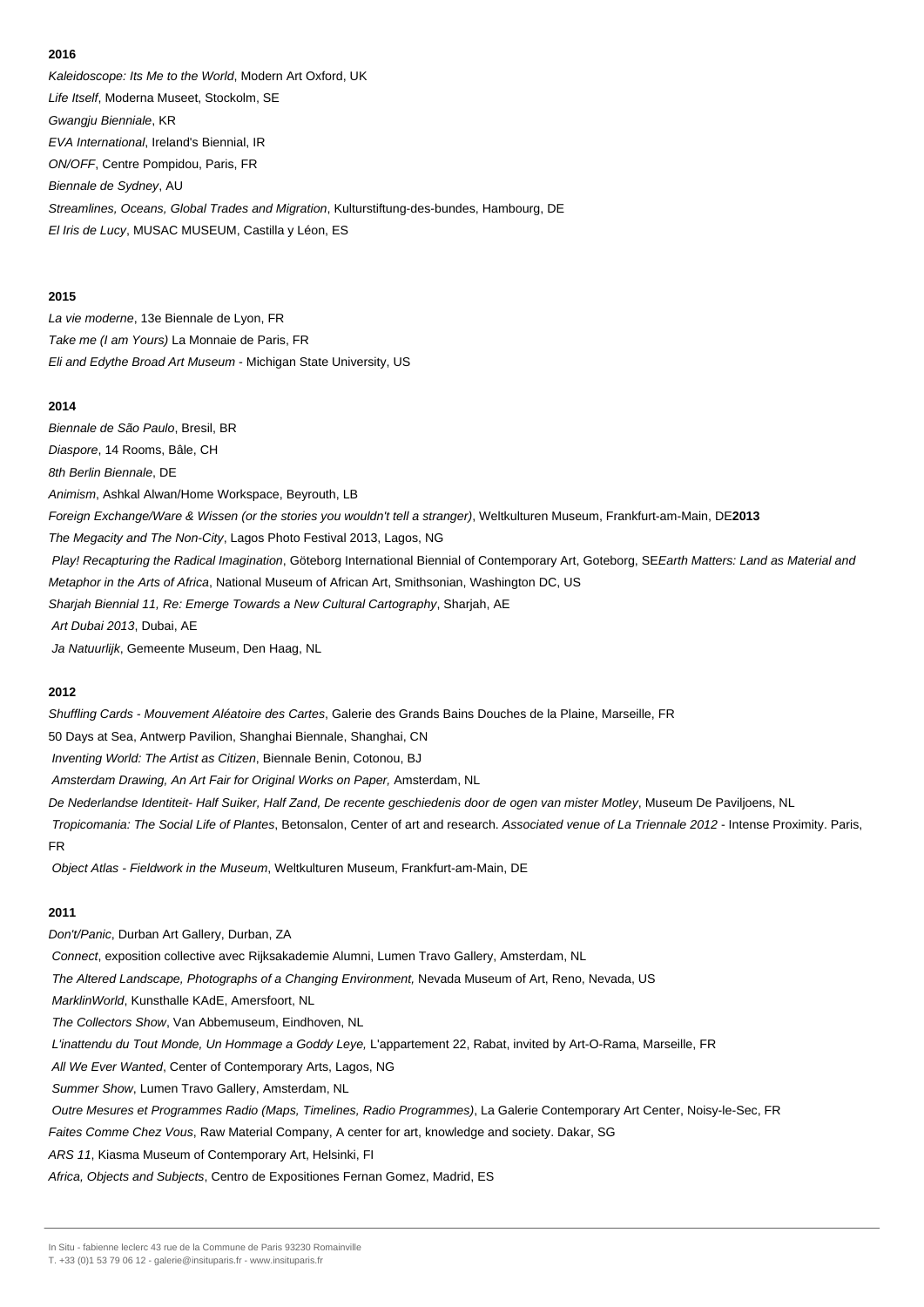Kaleidoscope: Its Me to the World, Modern Art Oxford, UK Life Itself, Moderna Museet, Stockolm, SE Gwangju Bienniale, KR EVA International, Ireland's Biennial, IR ON/OFF, Centre Pompidou, Paris, FR Biennale de Sydney, AU Streamlines, Oceans, Global Trades and Migration, Kulturstiftung-des-bundes, Hambourg, DE El Iris de Lucy, MUSAC MUSEUM, Castilla y Léon, ES

## **2015**

La vie moderne, 13e Biennale de Lyon, FR Take me (I am Yours) La Monnaie de Paris, FR Eli and Edythe Broad Art Museum - Michigan State University, US

## **2014**

Biennale de São Paulo, Bresil, BR Diaspore, 14 Rooms, Bâle, CH 8th Berlin Biennale, DE Animism, Ashkal Alwan/Home Workspace, Beyrouth, LB Foreign Exchange/Ware & Wissen (or the stories you wouldn't tell a stranger), Weltkulturen Museum, Frankfurt-am-Main, DE**2013** The Megacity and The Non-City, Lagos Photo Festival 2013, Lagos, NG Play! Recapturing the Radical Imagination, Göteborg International Biennial of Contemporary Art, Goteborg, SEEarth Matters: Land as Material and Metaphor in the Arts of Africa, National Museum of African Art, Smithsonian, Washington DC, US Sharjah Biennial 11, Re: Emerge Towards a New Cultural Cartography, Sharjah, AE Art Dubai 2013, Dubai, AE Ja Natuurlijk, Gemeente Museum, Den Haag, NL

#### **2012**

Shuffling Cards - Mouvement Aléatoire des Cartes, Galerie des Grands Bains Douches de la Plaine, Marseille, FR

50 Days at Sea, Antwerp Pavilion, Shanghai Biennale, Shanghai, CN

Inventing World: The Artist as Citizen, Biennale Benin, Cotonou, BJ

Amsterdam Drawing, An Art Fair for Original Works on Paper, Amsterdam, NL

De Nederlandse Identiteit- Half Suiker, Half Zand, De recente geschiedenis door de ogen van mister Motley, Museum De Paviljoens, NL

Tropicomania: The Social Life of Plantes, Betonsalon, Center of art and research. Associated venue of La Triennale 2012 - Intense Proximity. Paris, FR

Object Atlas - Fieldwork in the Museum, Weltkulturen Museum, Frankfurt-am-Main, DE

## **2011**

Don't/Panic, Durban Art Gallery, Durban, ZA Connect, exposition collective avec Rijksakademie Alumni, Lumen Travo Gallery, Amsterdam, NL The Altered Landscape, Photographs of a Changing Environment, Nevada Museum of Art, Reno, Nevada, US MarklinWorld, Kunsthalle KAdE, Amersfoort, NL The Collectors Show, Van Abbemuseum, Eindhoven, NL L'inattendu du Tout Monde, Un Hommage a Goddy Leye, L'appartement 22, Rabat, invited by Art-O-Rama, Marseille, FR All We Ever Wanted, Center of Contemporary Arts, Lagos, NG Summer Show, Lumen Travo Gallery, Amsterdam, NL Outre Mesures et Programmes Radio (Maps, Timelines, Radio Programmes), La Galerie Contemporary Art Center, Noisy-le-Sec, FR Faites Comme Chez Vous, Raw Material Company, A center for art, knowledge and society. Dakar, SG ARS 11, Kiasma Museum of Contemporary Art, Helsinki, FI

Africa, Objects and Subjects, Centro de Expositiones Fernan Gomez, Madrid, ES

In Situ - fabienne leclerc 43 rue de la Commune de Paris 93230 Romainville

T. +33 (0)1 53 79 06 12 - galerie@insituparis.fr - www.insituparis.fr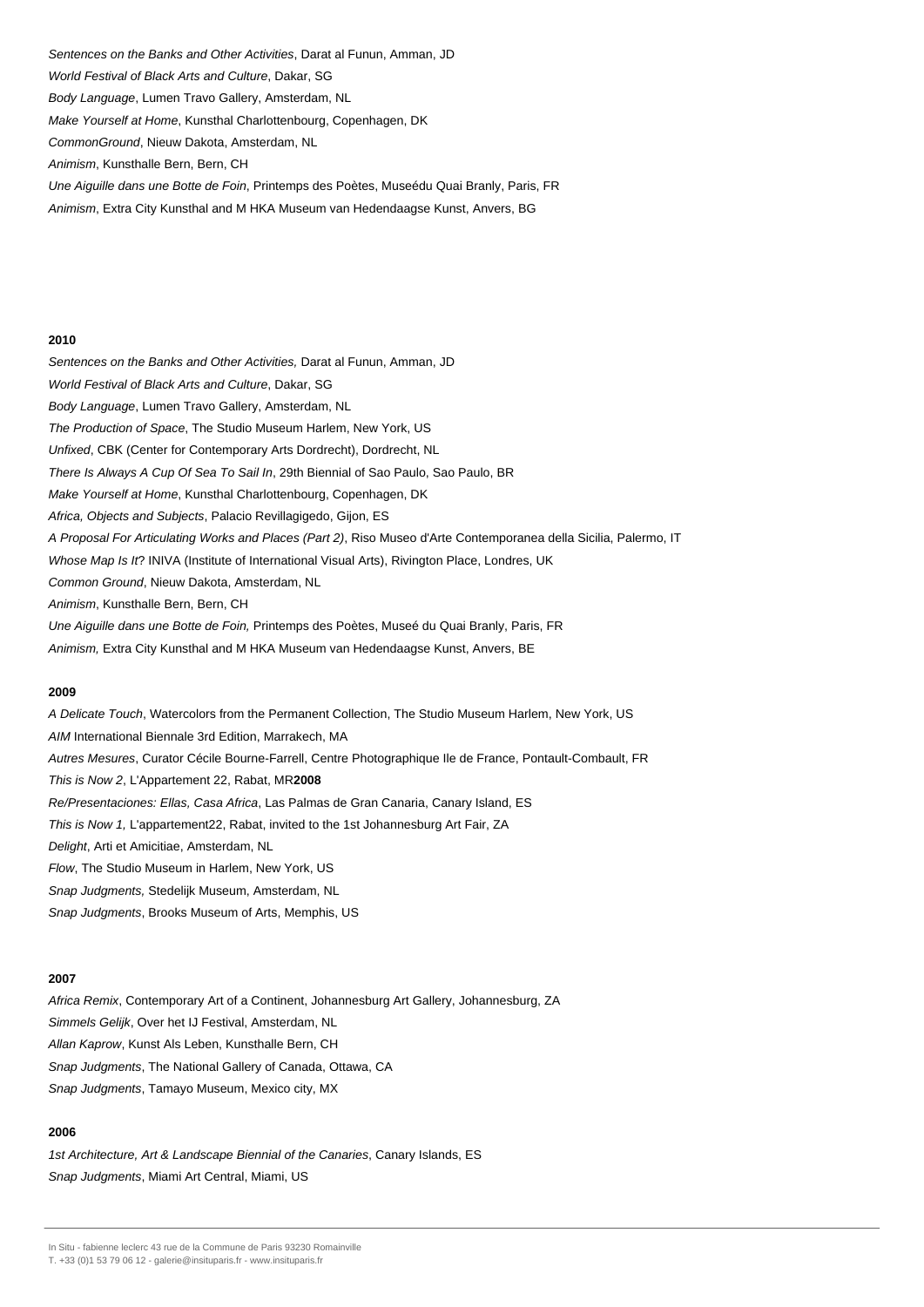Sentences on the Banks and Other Activities, Darat al Funun, Amman, JD

World Festival of Black Arts and Culture, Dakar, SG

Body Language, Lumen Travo Gallery, Amsterdam, NL

Make Yourself at Home, Kunsthal Charlottenbourg, Copenhagen, DK

CommonGround, Nieuw Dakota, Amsterdam, NL

Animism, Kunsthalle Bern, Bern, CH

Une Aiguille dans une Botte de Foin, Printemps des Poètes, Museédu Quai Branly, Paris, FR

Animism, Extra City Kunsthal and M HKA Museum van Hedendaagse Kunst, Anvers, BG

#### **2010**

Sentences on the Banks and Other Activities, Darat al Funun, Amman, JD World Festival of Black Arts and Culture, Dakar, SG Body Language, Lumen Travo Gallery, Amsterdam, NL The Production of Space, The Studio Museum Harlem, New York, US Unfixed, CBK (Center for Contemporary Arts Dordrecht), Dordrecht, NL There Is Always A Cup Of Sea To Sail In, 29th Biennial of Sao Paulo, Sao Paulo, BR Make Yourself at Home, Kunsthal Charlottenbourg, Copenhagen, DK Africa, Objects and Subjects, Palacio Revillagigedo, Gijon, ES A Proposal For Articulating Works and Places (Part 2), Riso Museo d'Arte Contemporanea della Sicilia, Palermo, IT Whose Map Is It? INIVA (Institute of International Visual Arts), Rivington Place, Londres, UK Common Ground, Nieuw Dakota, Amsterdam, NL Animism, Kunsthalle Bern, Bern, CH Une Aiguille dans une Botte de Foin, Printemps des Poètes, Museé du Quai Branly, Paris, FR

Animism, Extra City Kunsthal and M HKA Museum van Hedendaagse Kunst, Anvers, BE

#### **2009**

A Delicate Touch, Watercolors from the Permanent Collection, The Studio Museum Harlem, New York, US AIM International Biennale 3rd Edition, Marrakech, MA Autres Mesures, Curator Cécile Bourne-Farrell, Centre Photographique Ile de France, Pontault-Combault, FR This is Now 2, L'Appartement 22, Rabat, MR**2008**  Re/Presentaciones: Ellas, Casa Africa, Las Palmas de Gran Canaria, Canary Island, ES This is Now 1, L'appartement22, Rabat, invited to the 1st Johannesburg Art Fair, ZA Delight, Arti et Amicitiae, Amsterdam, NL Flow, The Studio Museum in Harlem, New York, US Snap Judgments, Stedelijk Museum, Amsterdam, NL Snap Judgments, Brooks Museum of Arts, Memphis, US

#### **2007**

Africa Remix, Contemporary Art of a Continent, Johannesburg Art Gallery, Johannesburg, ZA Simmels Gelijk, Over het IJ Festival, Amsterdam, NL Allan Kaprow, Kunst Als Leben, Kunsthalle Bern, CH Snap Judgments, The National Gallery of Canada, Ottawa, CA Snap Judgments, Tamayo Museum, Mexico city, MX

## **2006**

1st Architecture, Art & Landscape Biennial of the Canaries, Canary Islands, ES Snap Judgments, Miami Art Central, Miami, US

In Situ - fabienne leclerc 43 rue de la Commune de Paris 93230 Romainville

T. +33 (0)1 53 79 06 12 - galerie@insituparis.fr - www.insituparis.fr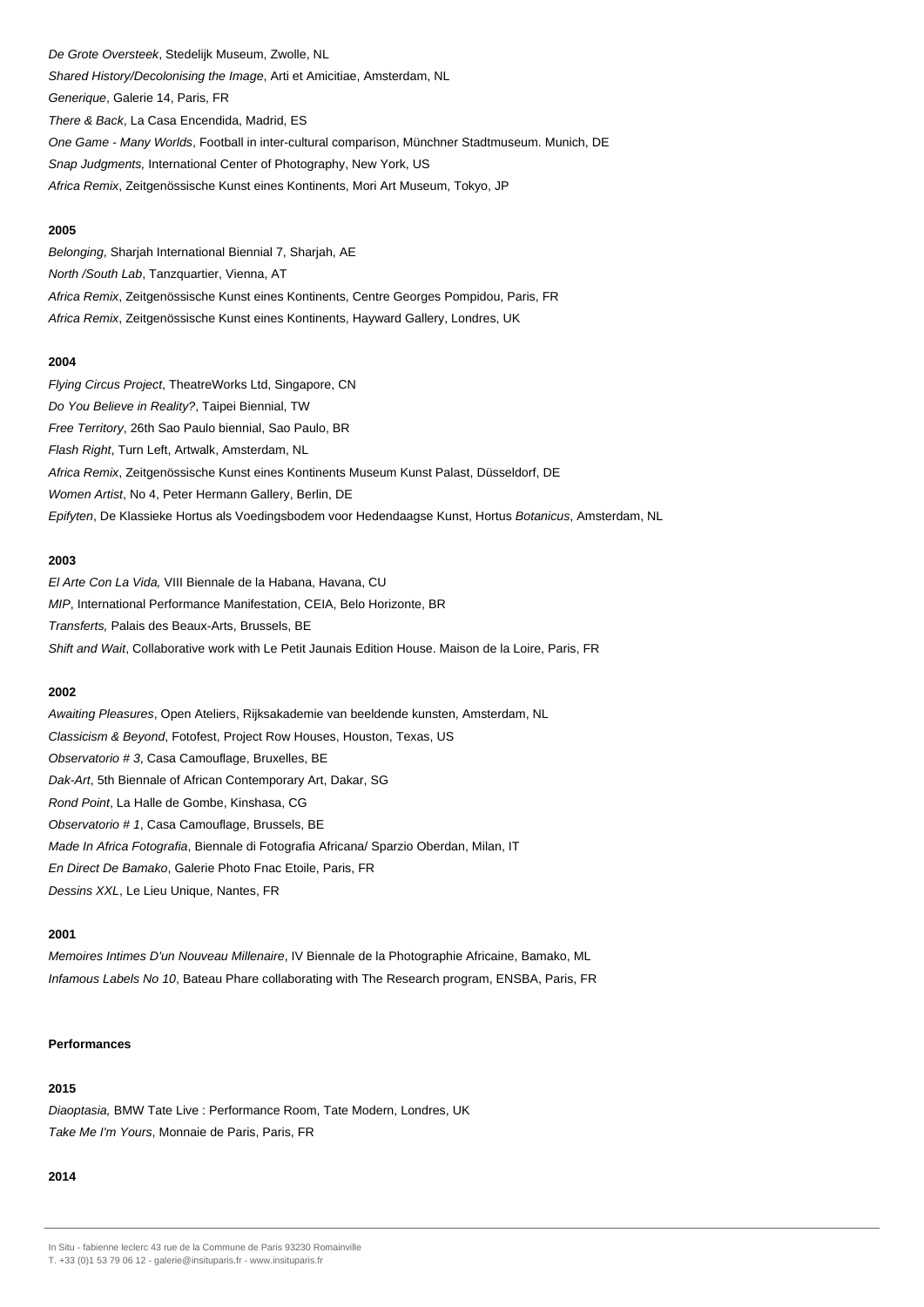De Grote Oversteek, Stedelijk Museum, Zwolle, NL Shared History/Decolonising the Image, Arti et Amicitiae, Amsterdam, NL Generique, Galerie 14, Paris, FR There & Back, La Casa Encendida, Madrid, ES One Game - Many Worlds, Football in inter-cultural comparison, Münchner Stadtmuseum. Munich, DE Snap Judgments, International Center of Photography, New York, US Africa Remix, Zeitgenössische Kunst eines Kontinents, Mori Art Museum, Tokyo, JP

## **2005**

Belonging, Sharjah International Biennial 7, Sharjah, AE North /South Lab, Tanzquartier, Vienna, AT Africa Remix, Zeitgenössische Kunst eines Kontinents, Centre Georges Pompidou, Paris, FR Africa Remix, Zeitgenössische Kunst eines Kontinents, Hayward Gallery, Londres, UK

## **2004**

Flying Circus Project, TheatreWorks Ltd, Singapore, CN Do You Believe in Reality?, Taipei Biennial, TW Free Territory, 26th Sao Paulo biennial, Sao Paulo, BR Flash Right, Turn Left, Artwalk, Amsterdam, NL Africa Remix, Zeitgenössische Kunst eines Kontinents Museum Kunst Palast, Düsseldorf, DE Women Artist, No 4, Peter Hermann Gallery, Berlin, DE Epifyten, De Klassieke Hortus als Voedingsbodem voor Hedendaagse Kunst, Hortus Botanicus, Amsterdam, NL

#### **2003**

El Arte Con La Vida, VIII Biennale de la Habana, Havana, CU MIP, International Performance Manifestation, CEIA, Belo Horizonte, BR Transferts, Palais des Beaux-Arts, Brussels, BE Shift and Wait, Collaborative work with Le Petit Jaunais Edition House. Maison de la Loire, Paris, FR

#### **2002**

Awaiting Pleasures, Open Ateliers, Rijksakademie van beeldende kunsten, Amsterdam, NL Classicism & Beyond, Fotofest, Project Row Houses, Houston, Texas, US Observatorio # 3, Casa Camouflage, Bruxelles, BE Dak-Art, 5th Biennale of African Contemporary Art, Dakar, SG Rond Point, La Halle de Gombe, Kinshasa, CG Observatorio # 1, Casa Camouflage, Brussels, BE Made In Africa Fotografia, Biennale di Fotografia Africana/ Sparzio Oberdan, Milan, IT En Direct De Bamako, Galerie Photo Fnac Etoile, Paris, FR Dessins XXL, Le Lieu Unique, Nantes, FR

#### **2001**

Memoires Intimes D'un Nouveau Millenaire, IV Biennale de la Photographie Africaine, Bamako, ML Infamous Labels No 10, Bateau Phare collaborating with The Research program, ENSBA, Paris, FR

#### **Performances**

## **2015**

Diaoptasia, BMW Tate Live : Performance Room, Tate Modern, Londres, UK Take Me I'm Yours, Monnaie de Paris, Paris, FR

## **2014**

In Situ - fabienne leclerc 43 rue de la Commune de Paris 93230 Romainville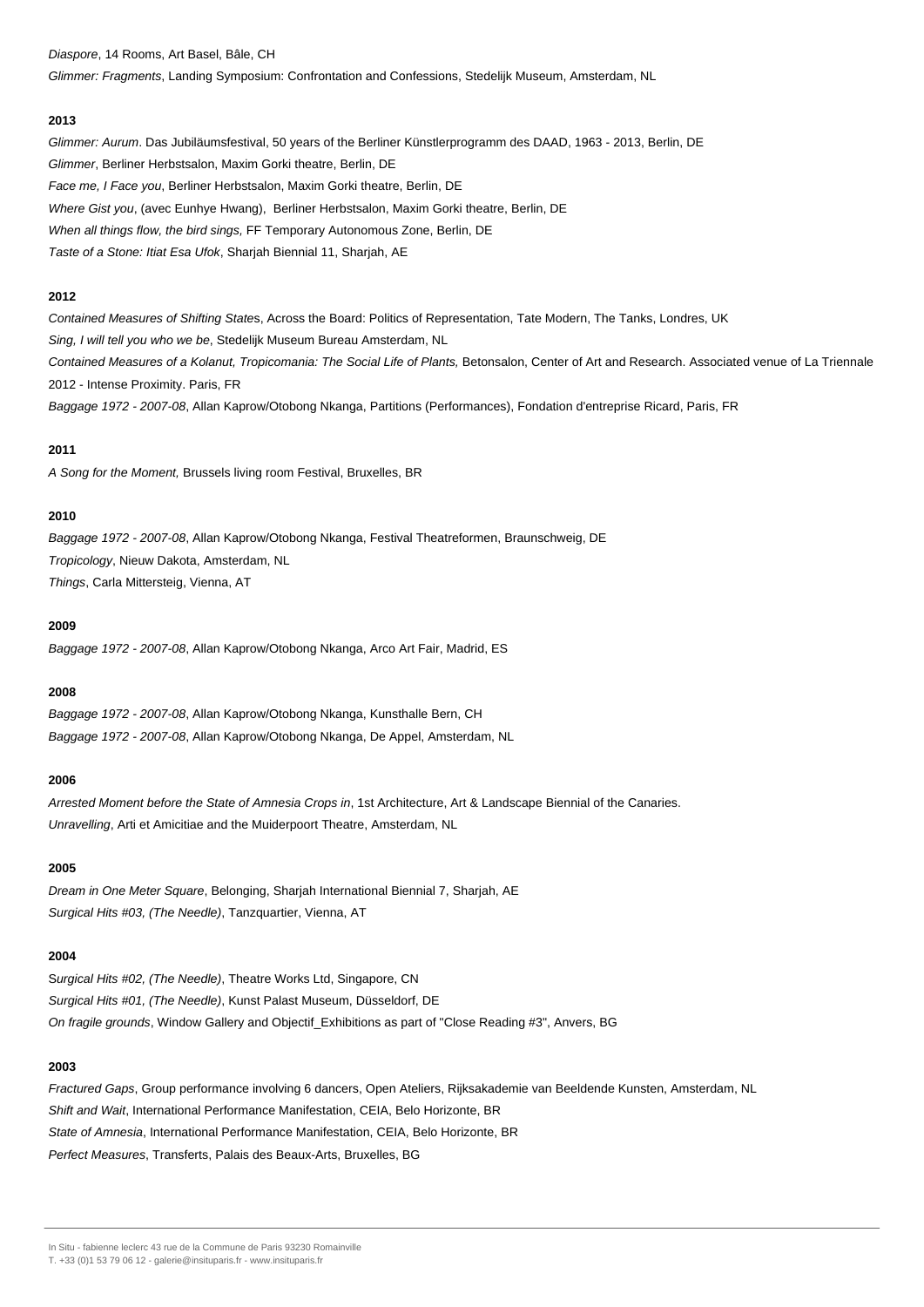Diaspore, 14 Rooms, Art Basel, Bâle, CH

Glimmer: Fragments, Landing Symposium: Confrontation and Confessions, Stedelijk Museum, Amsterdam, NL

#### **2013**

Glimmer: Aurum. Das Jubiläumsfestival, 50 years of the Berliner Künstlerprogramm des DAAD, 1963 - 2013, Berlin, DE Glimmer, Berliner Herbstsalon, Maxim Gorki theatre, Berlin, DE Face me, I Face you, Berliner Herbstsalon, Maxim Gorki theatre, Berlin, DE Where Gist you, (avec Eunhye Hwang), Berliner Herbstsalon, Maxim Gorki theatre, Berlin, DE When all things flow, the bird sings, FF Temporary Autonomous Zone, Berlin, DE Taste of a Stone: Itiat Esa Ufok, Sharjah Biennial 11, Sharjah, AE

## **2012**

Contained Measures of Shifting States, Across the Board: Politics of Representation, Tate Modern, The Tanks, Londres, UK Sing, I will tell you who we be, Stedelijk Museum Bureau Amsterdam, NL Contained Measures of a Kolanut, Tropicomania: The Social Life of Plants, Betonsalon, Center of Art and Research. Associated venue of La Triennale 2012 - Intense Proximity. Paris, FR Baggage 1972 - 2007-08, Allan Kaprow/Otobong Nkanga, Partitions (Performances), Fondation d'entreprise Ricard, Paris, FR

## **2011**

A Song for the Moment, Brussels living room Festival, Bruxelles, BR

## **2010**

Baggage 1972 - 2007-08, Allan Kaprow/Otobong Nkanga, Festival Theatreformen, Braunschweig, DE Tropicology, Nieuw Dakota, Amsterdam, NL Things, Carla Mittersteig, Vienna, AT

#### **2009**

Baggage 1972 - 2007-08, Allan Kaprow/Otobong Nkanga, Arco Art Fair, Madrid, ES

## **2008**

Baggage 1972 - 2007-08, Allan Kaprow/Otobong Nkanga, Kunsthalle Bern, CH Baggage 1972 - 2007-08, Allan Kaprow/Otobong Nkanga, De Appel, Amsterdam, NL

## **2006**

Arrested Moment before the State of Amnesia Crops in, 1st Architecture, Art & Landscape Biennial of the Canaries. Unravelling, Arti et Amicitiae and the Muiderpoort Theatre, Amsterdam, NL

## **2005**

Dream in One Meter Square, Belonging, Sharjah International Biennial 7, Sharjah, AE Surgical Hits #03, (The Needle), Tanzquartier, Vienna, AT

## **2004**

Surgical Hits #02, (The Needle), Theatre Works Ltd, Singapore, CN Surgical Hits #01, (The Needle), Kunst Palast Museum, Düsseldorf, DE On fragile grounds, Window Gallery and Objectif\_Exhibitions as part of "Close Reading #3", Anvers, BG

#### **2003**

Fractured Gaps, Group performance involving 6 dancers, Open Ateliers, Rijksakademie van Beeldende Kunsten, Amsterdam, NL Shift and Wait, International Performance Manifestation, CEIA, Belo Horizonte, BR State of Amnesia, International Performance Manifestation, CEIA, Belo Horizonte, BR Perfect Measures, Transferts, Palais des Beaux-Arts, Bruxelles, BG

In Situ - fabienne leclerc 43 rue de la Commune de Paris 93230 Romainville

T. +33 (0)1 53 79 06 12 - galerie@insituparis.fr - www.insituparis.fr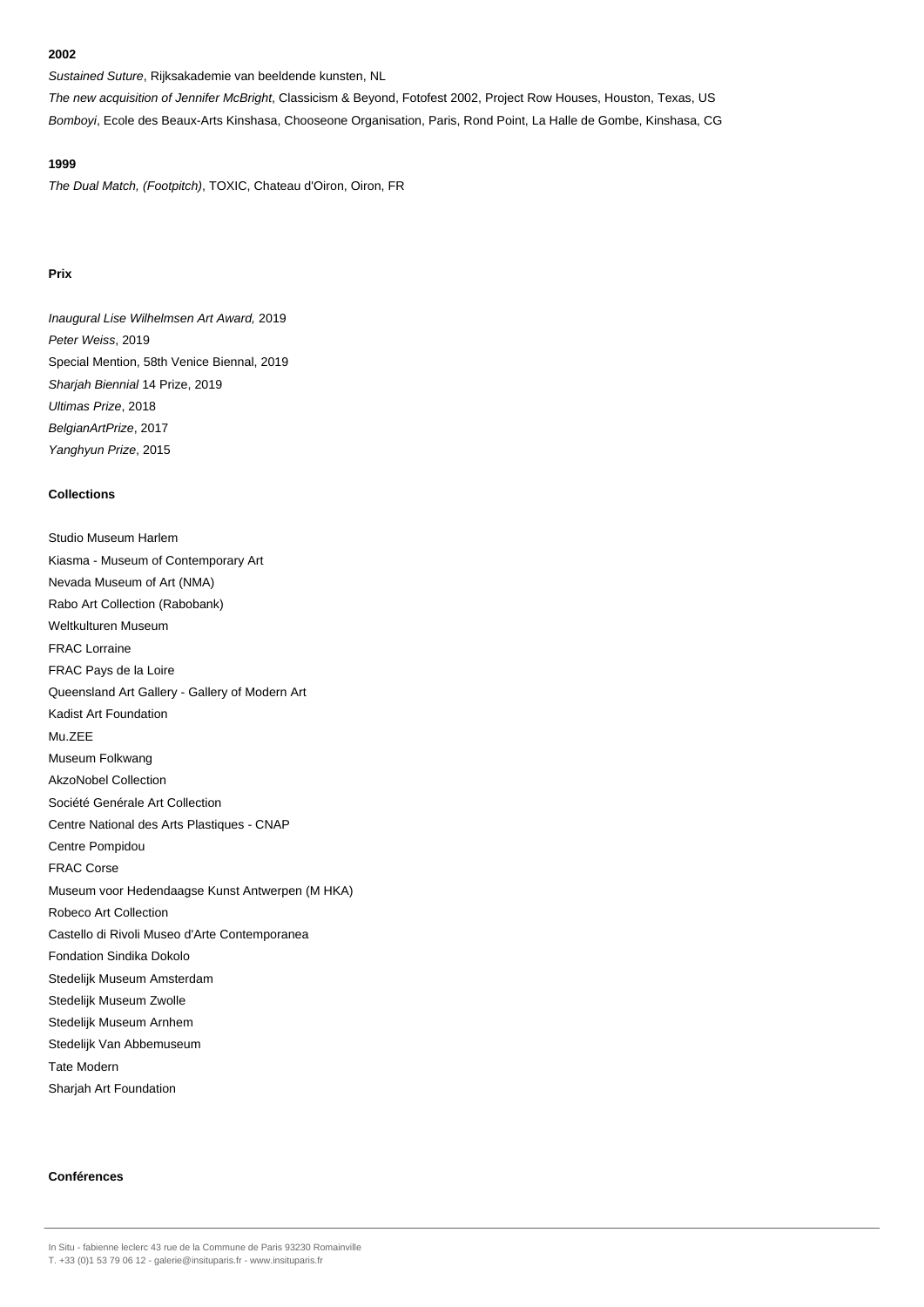Sustained Suture, Rijksakademie van beeldende kunsten, NL

The new acquisition of Jennifer McBright, Classicism & Beyond, Fotofest 2002, Project Row Houses, Houston, Texas, US Bomboyi, Ecole des Beaux-Arts Kinshasa, Chooseone Organisation, Paris, Rond Point, La Halle de Gombe, Kinshasa, CG

## **1999**

The Dual Match, (Footpitch), TOXIC, Chateau d'Oiron, Oiron, FR

## **Prix**

Inaugural Lise Wilhelmsen Art Award, 2019 Peter Weiss, 2019 Special Mention, 58th Venice Biennal, 2019 Sharjah Biennial 14 Prize, 2019 Ultimas Prize, 2018 BelgianArtPrize, 2017 Yanghyun Prize, 2015

## **Collections**

Studio Museum Harlem Kiasma - Museum of Contemporary Art Nevada Museum of Art (NMA) Rabo Art Collection (Rabobank) Weltkulturen Museum FRAC Lorraine FRAC Pays de la Loire Queensland Art Gallery - Gallery of Modern Art Kadist Art Foundation Mu.ZEE Museum Folkwang AkzoNobel Collection Société Genérale Art Collection Centre National des Arts Plastiques - CNAP Centre Pompidou FRAC Corse Museum voor Hedendaagse Kunst Antwerpen (M HKA) Robeco Art Collection Castello di Rivoli Museo d'Arte Contemporanea Fondation Sindika Dokolo Stedelijk Museum Amsterdam Stedelijk Museum Zwolle Stedelijk Museum Arnhem Stedelijk Van Abbemuseum Tate Modern Sharjah Art Foundation

# **Conférences**

In Situ - fabienne leclerc 43 rue de la Commune de Paris 93230 Romainville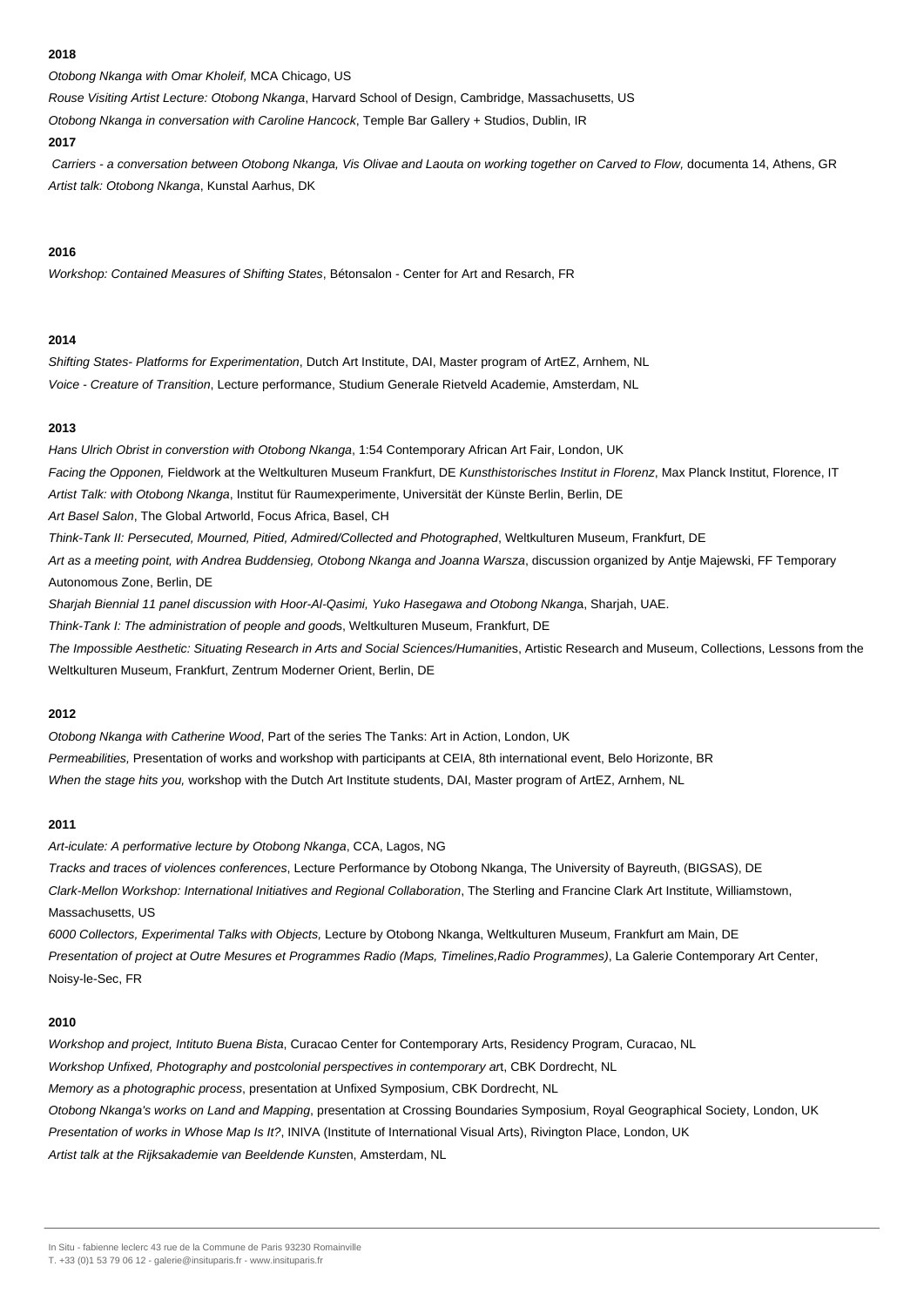Otobong Nkanga with Omar Kholeif, MCA Chicago, US

Rouse Visiting Artist Lecture: Otobong Nkanga, Harvard School of Design, Cambridge, Massachusetts, US

Otobong Nkanga in conversation with Caroline Hancock, Temple Bar Gallery + Studios, Dublin, IR

## **2017**

 Carriers - a conversation between Otobong Nkanga, Vis Olivae and Laouta on working together on Carved to Flow, documenta 14, Athens, GR Artist talk: Otobong Nkanga, Kunstal Aarhus, DK

## **2016**

Workshop: Contained Measures of Shifting States, Bétonsalon - Center for Art and Resarch, FR

## **2014**

Shifting States- Platforms for Experimentation, Dutch Art Institute, DAI, Master program of ArtEZ, Arnhem, NL Voice - Creature of Transition, Lecture performance, Studium Generale Rietveld Academie, Amsterdam, NL

## **2013**

Hans Ulrich Obrist in converstion with Otobong Nkanga, 1:54 Contemporary African Art Fair, London, UK Facing the Opponen, Fieldwork at the Weltkulturen Museum Frankfurt, DE Kunsthistorisches Institut in Florenz, Max Planck Institut, Florence, IT Artist Talk: with Otobong Nkanga, Institut für Raumexperimente, Universität der Künste Berlin, Berlin, DE Art Basel Salon, The Global Artworld, Focus Africa, Basel, CH Think-Tank II: Persecuted, Mourned, Pitied, Admired/Collected and Photographed, Weltkulturen Museum, Frankfurt, DE Art as a meeting point, with Andrea Buddensieg, Otobong Nkanga and Joanna Warsza, discussion organized by Antje Majewski, FF Temporary Autonomous Zone, Berlin, DE Sharjah Biennial 11 panel discussion with Hoor-Al-Qasimi, Yuko Hasegawa and Otobong Nkanga, Sharjah, UAE. Think-Tank I: The administration of people and goods, Weltkulturen Museum, Frankfurt, DE The Impossible Aesthetic: Situating Research in Arts and Social Sciences/Humanities, Artistic Research and Museum, Collections, Lessons from the Weltkulturen Museum, Frankfurt, Zentrum Moderner Orient, Berlin, DE

## **2012**

Otobong Nkanga with Catherine Wood, Part of the series The Tanks: Art in Action, London, UK Permeabilities, Presentation of works and workshop with participants at CEIA, 8th international event, Belo Horizonte, BR When the stage hits you, workshop with the Dutch Art Institute students, DAI, Master program of ArtEZ, Arnhem, NL

## **2011**

Art-iculate: A performative lecture by Otobong Nkanga, CCA, Lagos, NG

Tracks and traces of violences conferences, Lecture Performance by Otobong Nkanga, The University of Bayreuth, (BIGSAS), DE Clark-Mellon Workshop: International Initiatives and Regional Collaboration, The Sterling and Francine Clark Art Institute, Williamstown, Massachusetts, US

6000 Collectors, Experimental Talks with Objects, Lecture by Otobong Nkanga, Weltkulturen Museum, Frankfurt am Main, DE Presentation of project at Outre Mesures et Programmes Radio (Maps, Timelines,Radio Programmes), La Galerie Contemporary Art Center, Noisy-le-Sec, FR

## **2010**

Workshop and project, Intituto Buena Bista, Curacao Center for Contemporary Arts, Residency Program, Curacao, NL Workshop Unfixed, Photography and postcolonial perspectives in contemporary art, CBK Dordrecht, NL Memory as a photographic process, presentation at Unfixed Symposium, CBK Dordrecht, NL Otobong Nkanga's works on Land and Mapping, presentation at Crossing Boundaries Symposium, Royal Geographical Society, London, UK Presentation of works in Whose Map Is It?, INIVA (Institute of International Visual Arts), Rivington Place, London, UK Artist talk at the Rijksakademie van Beeldende Kunsten, Amsterdam, NL

In Situ - fabienne leclerc 43 rue de la Commune de Paris 93230 Romainville

T. +33 (0)1 53 79 06 12 - galerie@insituparis.fr - www.insituparis.fr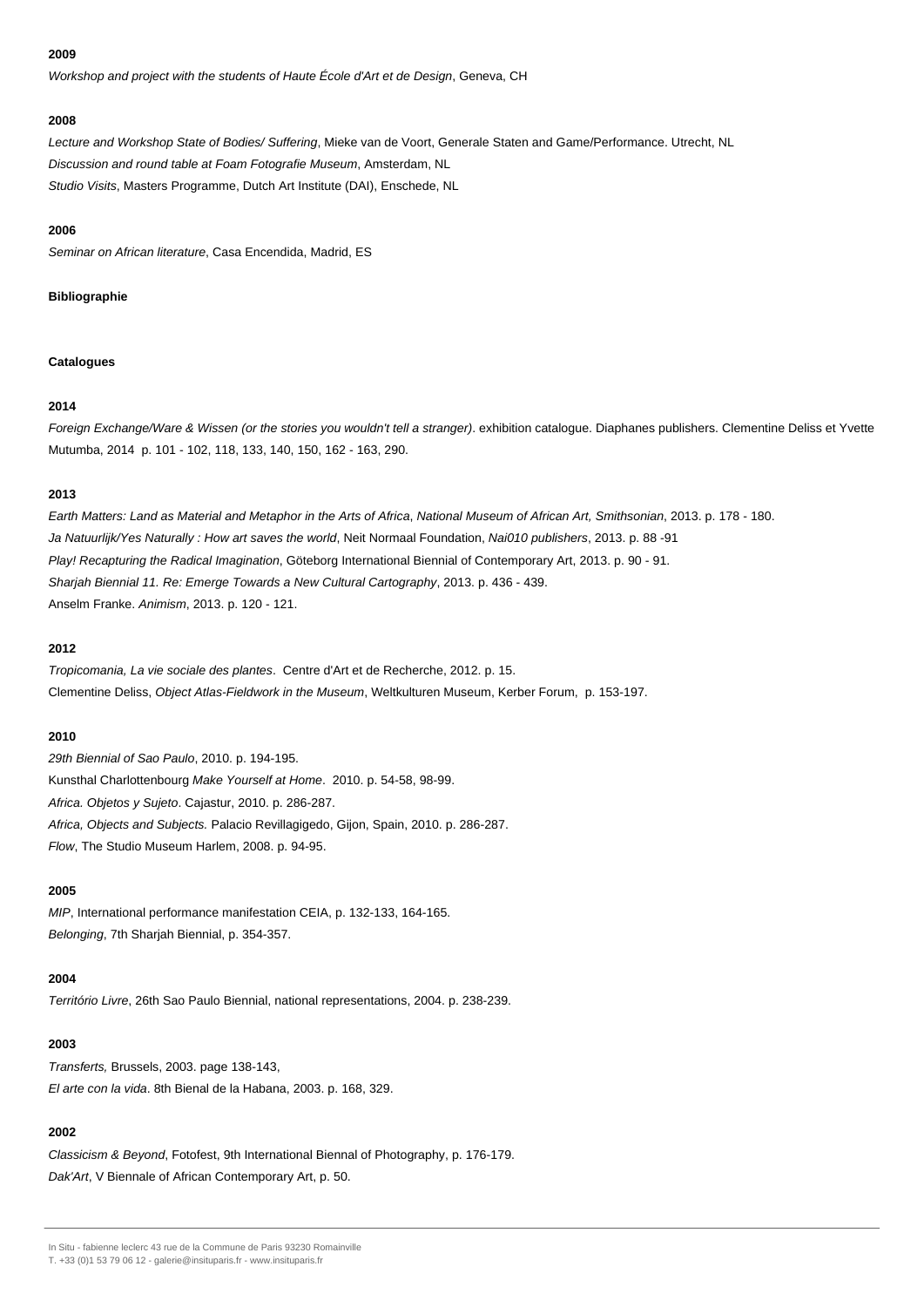Workshop and project with the students of Haute École d'Art et de Design, Geneva, CH

#### **2008**

Lecture and Workshop State of Bodies/ Suffering, Mieke van de Voort, Generale Staten and Game/Performance. Utrecht, NL Discussion and round table at Foam Fotografie Museum, Amsterdam, NL Studio Visits, Masters Programme, Dutch Art Institute (DAI), Enschede, NL

#### **2006**

Seminar on African literature, Casa Encendida, Madrid, ES

## **Bibliographie**

## **Catalogues**

## **2014**

Foreign Exchange/Ware & Wissen (or the stories you wouldn't tell a stranger). exhibition catalogue. Diaphanes publishers. Clementine Deliss et Yvette Mutumba, 2014 p. 101 - 102, 118, 133, 140, 150, 162 - 163, 290.

## **2013**

Earth Matters: Land as Material and Metaphor in the Arts of Africa, National Museum of African Art, Smithsonian, 2013. p. 178 - 180. Ja Natuurlijk/Yes Naturally : How art saves the world, Neit Normaal Foundation, Nai010 publishers, 2013. p. 88-91 Play! Recapturing the Radical Imagination, Göteborg International Biennial of Contemporary Art, 2013. p. 90 - 91. Sharjah Biennial 11. Re: Emerge Towards a New Cultural Cartography, 2013. p. 436 - 439. Anselm Franke. Animism, 2013. p. 120 - 121.

## **2012**

Tropicomania, La vie sociale des plantes. Centre d'Art et de Recherche, 2012. p. 15. Clementine Deliss, Object Atlas-Fieldwork in the Museum, Weltkulturen Museum, Kerber Forum, p. 153-197.

## **2010**

29th Biennial of Sao Paulo, 2010. p. 194-195. Kunsthal Charlottenbourg Make Yourself at Home. 2010. p. 54-58, 98-99. Africa. Objetos y Sujeto. Cajastur, 2010. p. 286-287. Africa, Objects and Subjects. Palacio Revillagigedo, Gijon, Spain, 2010. p. 286-287. Flow, The Studio Museum Harlem, 2008. p. 94-95.

## **2005**

MIP, International performance manifestation CEIA, p. 132-133, 164-165. Belonging, 7th Sharjah Biennial, p. 354-357.

## **2004**

Território Livre, 26th Sao Paulo Biennial, national representations, 2004. p. 238-239.

## **2003**

Transferts, Brussels, 2003. page 138-143, El arte con la vida. 8th Bienal de la Habana, 2003. p. 168, 329.

## **2002**

Classicism & Beyond, Fotofest, 9th International Biennal of Photography, p. 176-179. Dak'Art, V Biennale of African Contemporary Art, p. 50.

In Situ - fabienne leclerc 43 rue de la Commune de Paris 93230 Romainville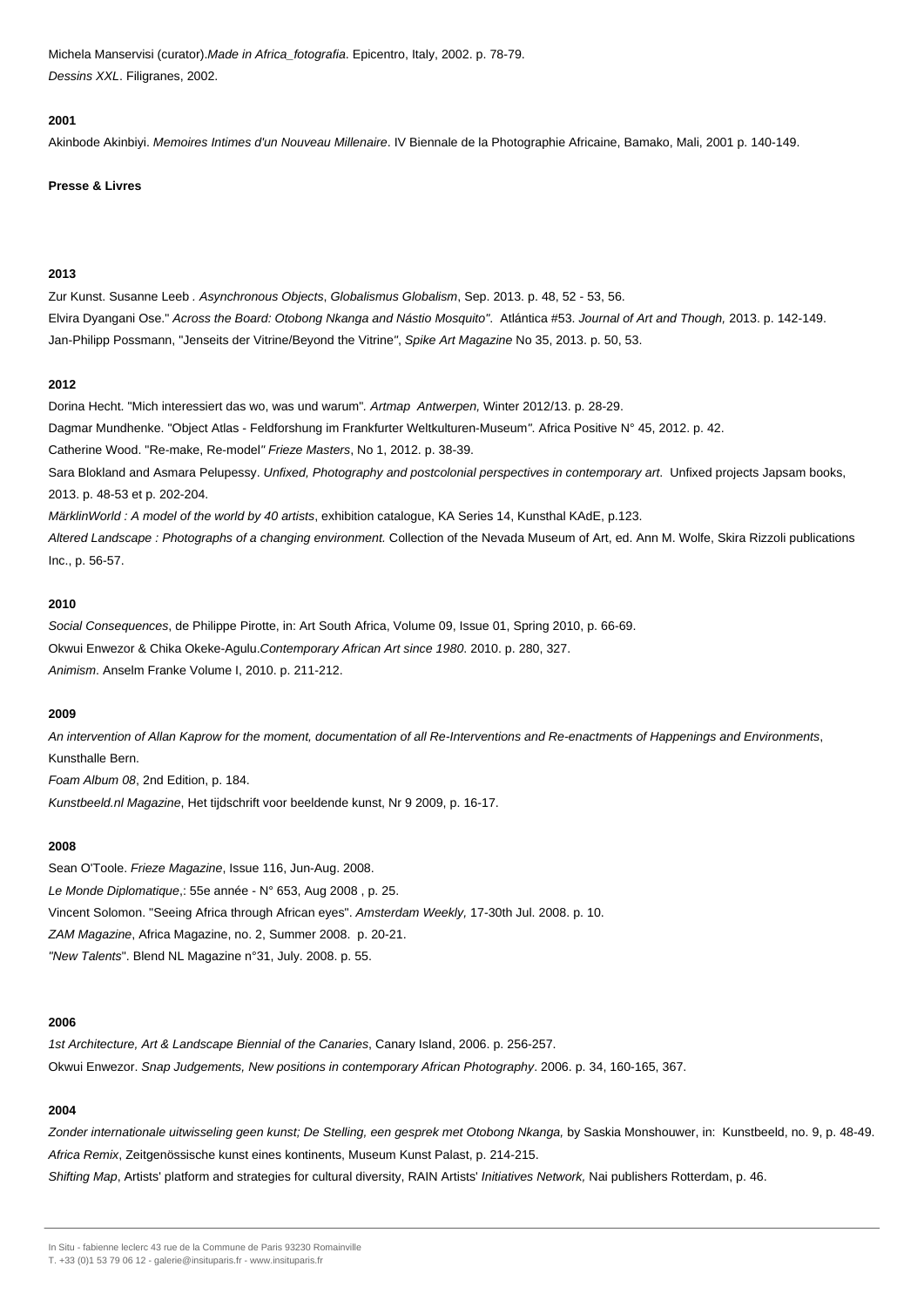Michela Manservisi (curator).Made in Africa\_fotografia. Epicentro, Italy, 2002. p. 78-79. Dessins XXL. Filigranes, 2002.

#### **2001**

Akinbode Akinbiyi. Memoires Intimes d'un Nouveau Millenaire. IV Biennale de la Photographie Africaine, Bamako, Mali, 2001 p. 140-149.

#### **Presse & Livres**

## **2013**

Zur Kunst. Susanne Leeb . Asynchronous Objects, Globalismus Globalism, Sep. 2013. p. 48, 52 - 53, 56. Elvira Dyangani Ose." Across the Board: Otobong Nkanga and Nástio Mosquito". Atlántica #53. Journal of Art and Though, 2013. p. 142-149. Jan-Philipp Possmann, "Jenseits der Vitrine/Beyond the Vitrine", Spike Art Magazine No 35, 2013. p. 50, 53.

## **2012**

Dorina Hecht. "Mich interessiert das wo, was und warum". Artmap Antwerpen, Winter 2012/13. p. 28-29. Dagmar Mundhenke. "Object Atlas - Feldforshung im Frankfurter Weltkulturen-Museum". Africa Positive N° 45, 2012. p. 42. Catherine Wood. "Re-make, Re-model" Frieze Masters, No 1, 2012. p. 38-39. Sara Blokland and Asmara Pelupessy. Unfixed, Photography and postcolonial perspectives in contemporary art. Unfixed projects Japsam books, 2013. p. 48-53 et p. 202-204. MärklinWorld : A model of the world by 40 artists, exhibition catalogue, KA Series 14, Kunsthal KAdE, p.123.

Altered Landscape : Photographs of a changing environment. Collection of the Nevada Museum of Art, ed. Ann M. Wolfe, Skira Rizzoli publications Inc., p. 56-57.

## **2010**

Social Consequences, de Philippe Pirotte, in: Art South Africa, Volume 09, Issue 01, Spring 2010, p. 66-69. Okwui Enwezor & Chika Okeke-Agulu.Contemporary African Art since 1980. 2010. p. 280, 327. Animism. Anselm Franke Volume I, 2010. p. 211-212.

## **2009**

An intervention of Allan Kaprow for the moment, documentation of all Re-Interventions and Re-enactments of Happenings and Environments, Kunsthalle Bern.

Foam Album 08, 2nd Edition, p. 184.

Kunstbeeld.nl Magazine, Het tijdschrift voor beeldende kunst, Nr 9 2009, p. 16-17.

## **2008**

Sean O'Toole. Frieze Magazine, Issue 116, Jun-Aug. 2008. Le Monde Diplomatique,: 55e année - N° 653, Aug 2008 , p. 25. Vincent Solomon. "Seeing Africa through African eyes". Amsterdam Weekly, 17-30th Jul. 2008. p. 10. ZAM Magazine, Africa Magazine, no. 2, Summer 2008. p. 20-21. "New Talents". Blend NL Magazine n°31, July. 2008. p. 55.

#### **2006**

1st Architecture, Art & Landscape Biennial of the Canaries, Canary Island, 2006. p. 256-257. Okwui Enwezor. Snap Judgements, New positions in contemporary African Photography. 2006. p. 34, 160-165, 367.

## **2004**

Zonder internationale uitwisseling geen kunst; De Stelling, een gesprek met Otobong Nkanga, by Saskia Monshouwer, in: Kunstbeeld, no. 9, p. 48-49. Africa Remix, Zeitgenössische kunst eines kontinents, Museum Kunst Palast, p. 214-215.

Shifting Map, Artists' platform and strategies for cultural diversity, RAIN Artists' Initiatives Network, Nai publishers Rotterdam, p. 46.

In Situ - fabienne leclerc 43 rue de la Commune de Paris 93230 Romainville

T. +33 (0)1 53 79 06 12 - galerie@insituparis.fr - www.insituparis.fr